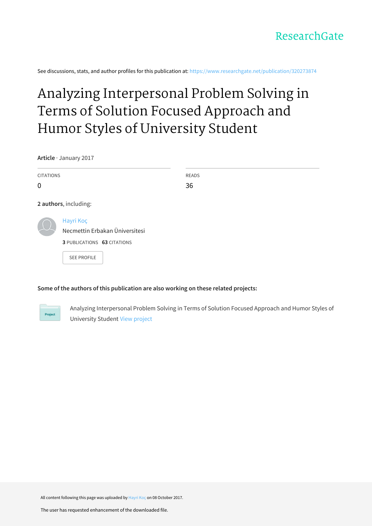See discussions, stats, and author profiles for this publication at: [https://www.researchgate.net/publication/320273874](https://www.researchgate.net/publication/320273874_Analyzing_Interpersonal_Problem_Solving_in_Terms_of_Solution_Focused_Approach_and_Humor_Styles_of_University_Student?enrichId=rgreq-060a5eb048aa73d895a501678cc595bd-XXX&enrichSource=Y292ZXJQYWdlOzMyMDI3Mzg3NDtBUzo1NDcyMzgwNTU0ODEzNTBAMTUwNzQ4MzEyNzk3Nw%3D%3D&el=1_x_2&_esc=publicationCoverPdf)

# Analyzing [Interpersonal](https://www.researchgate.net/publication/320273874_Analyzing_Interpersonal_Problem_Solving_in_Terms_of_Solution_Focused_Approach_and_Humor_Styles_of_University_Student?enrichId=rgreq-060a5eb048aa73d895a501678cc595bd-XXX&enrichSource=Y292ZXJQYWdlOzMyMDI3Mzg3NDtBUzo1NDcyMzgwNTU0ODEzNTBAMTUwNzQ4MzEyNzk3Nw%3D%3D&el=1_x_3&_esc=publicationCoverPdf) Problem Solving in Terms of Solution Focused Approach and Humor Styles of University Student

**Article** · January 2017

| <b>CITATIONS</b> |                                    | <b>READS</b> |
|------------------|------------------------------------|--------------|
| 0                |                                    | 36           |
|                  | 2 authors, including:              |              |
|                  | Hayri Koç                          |              |
|                  | Necmettin Erbakan Üniversitesi     |              |
|                  | <b>3 PUBLICATIONS 63 CITATIONS</b> |              |
|                  | <b>SEE PROFILE</b>                 |              |

# **Some of the authors of this publication are also working on these related projects:**



Analyzing Interpersonal Problem Solving in Terms of Solution Focused Approach and Humor Styles of University Student View [project](https://www.researchgate.net/project/Analyzing-Interpersonal-Problem-Solving-in-Terms-of-Solution-Focused-Approach-and-Humor-Styles-of-University-Student?enrichId=rgreq-060a5eb048aa73d895a501678cc595bd-XXX&enrichSource=Y292ZXJQYWdlOzMyMDI3Mzg3NDtBUzo1NDcyMzgwNTU0ODEzNTBAMTUwNzQ4MzEyNzk3Nw%3D%3D&el=1_x_9&_esc=publicationCoverPdf)

All content following this page was uploaded by [Hayri](https://www.researchgate.net/profile/Hayri_Koc?enrichId=rgreq-060a5eb048aa73d895a501678cc595bd-XXX&enrichSource=Y292ZXJQYWdlOzMyMDI3Mzg3NDtBUzo1NDcyMzgwNTU0ODEzNTBAMTUwNzQ4MzEyNzk3Nw%3D%3D&el=1_x_10&_esc=publicationCoverPdf) Koç on 08 October 2017.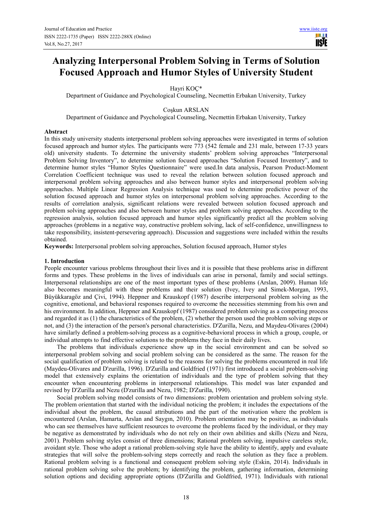# **Analyzing Interpersonal Problem Solving in Terms of Solution Focused Approach and Humor Styles of University Student**

Hayri KOÇ\*

Department of Guidance and Psychological Counseling, Necmettin Erbakan University, Turkey

# Coşkun ARSLAN

Department of Guidance and Psychological Counseling, Necmettin Erbakan University, Turkey

#### **Abstract**

In this study university students interpersonal problem solving approaches were investigated in terms of solution focused approach and humor styles. The participants were 773 (542 female and 231 male, between 17-33 years old) university students. To determine the university students' problem solving approaches "Interpersonal Problem Solving Inventory", to determine solution focused approaches "Solution Focused Inventory", and to determine humor styles "Humor Styles Questionnaire" were used.In data analysis, Pearson Product-Moment Correlation Coefficient technique was used to reveal the relation between solution focused approach and interpersonal problem solving approaches and also between humor styles and interpersonal problem solving approaches. Multiple Linear Regression Analysis technique was used to determine predictive power of the solution focused approach and humor styles on interpersonal problem solving approaches. According to the results of correlation analysis, significant relations were revealed between solution focused approach and problem solving approaches and also between humor styles and problem solving approaches. According to the regression analysis, solution focused approach and humor styles significantly predict all the problem solving approaches (problems in a negative way, constructive problem solving, lack of self-confidence, unwillingness to take responsibility, insistent-persevering approach). Discussion and suggestions were included within the results obtained.

**Keywords:** Interpersonal problem solving approaches, Solution focused approach, Humor styles

# **1. Introduction**

People encounter various problems throughout their lives and it is possible that these problems arise in different forms and types. These problems in the lives of individuals can arise in personal, family and social settings. Interpersonal relationships are one of the most important types of these problems (Arslan, 2009). Human life also becomes meaningful with these problems and their solution (Ivey, Ivey and Simek-Morgan, 1993, Büyükkaragöz and Çivi, 1994). Heppner and Krauskopf (1987) describe interpersonal problem solving as the cognitive, emotional, and behavioral responses required to overcome the necessities stemming from his own and his environment. In addition, Heppner and Krauskopf (1987) considered problem solving as a competing process and regarded it as (1) the characteristics of the problem, (2) whether the person used the problem solving steps or not, and (3) the interaction of the person's personal characteristics. D'Zurilla, Nezu, and Maydeu-Olivares (2004) have similarly defined a problem-solving process as a cognitive-behavioral process in which a group, couple, or individual attempts to find effective solutions to the problems they face in their daily lives.

The problems that individuals experience show up in the social environment and can be solved so interpersonal problem solving and social problem solving can be considered as the same. The reason for the social qualification of problem solving is related to the reasons for solving the problems encountered in real life (Maydeu-Olivares and D'zurilla, 1996). D'Zurilla and Goldfried (1971) first introduced a social problem-solving model that extensively explains the orientation of individuals and the type of problem solving that they encounter when encountering problems in interpersonal relationships. This model was later expanded and revised by D'Zurilla and Nezu (D'zurilla and Nezu, 1982; D'Zurilla, 1990).

Social problem solving model consists of two dimensions: problem orientation and problem solving style. The problem orientation that started with the individual noticing the problem; it includes the expectations of the individual about the problem, the causal attributions and the part of the motivation where the problem is encountered (Arslan, Hamarta, Arslan and Saygın, 2010). Problem orientation may be positive, as individuals who can see themselves have sufficient resources to overcome the problems faced by the individual, or they may be negative as demonstrated by individuals who do not rely on their own abilities and skills (Nezu and Nezu, 2001). Problem solving styles consist of three dimensions; Rational problem solving, impulsive careless style, avoidant style. Those who adopt a rational problem-solving style have the ability to identify, apply and evaluate strategies that will solve the problem-solving steps correctly and reach the solution as they face a problem. Rational problem solving is a functional and consequent problem solving style (Eskin, 2014). Individuals in rational problem solving solve the problem; by identifying the problem, gathering information, determining solution options and deciding appropriate options (D'Zurilla and Goldfried, 1971). Individuals with rational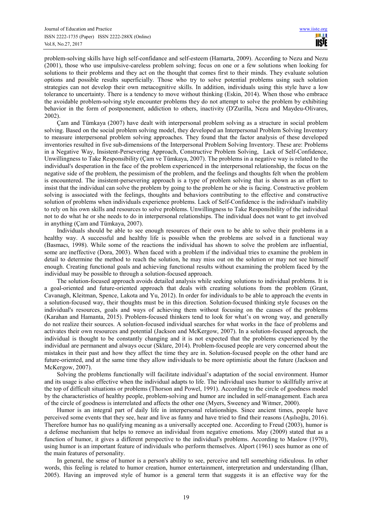problem-solving skills have high self-confidance and self-esteem (Hamarta, 2009). According to Nezu and Nezu (2001), those who use impulsive-careless problem solving; focus on one or a few solutions when looking for solutions to their problems and they act on the thought that comes first to their minds. They evaluate solution options and possible results superficially. Those who try to solve potential problems using such solution strategies can not develop their own metacognitive skills. In addition, individuals using this style have a low tolerance to uncertainty. There is a tendency to move without thinking (Eskin, 2014). When those who embrace the avoidable problem-solving style encounter problems they do not attempt to solve the problem by exhibiting behavior in the form of postponement, addiction to others, inactivity (D'Zurilla, Nezu and Maydeu-Olivares, 2002).

Çam and Tümkaya (2007) have dealt with interpersonal problem solving as a structure in social problem solving. Based on the social problem solving model, they developed an Interpersonal Problem Solving Inventory to measure interpersonal problem solving approaches. They found that the factor analysis of these developed inventories resulted in five sub-dimensions of the Interpersonal Problem Solving Inventory. These are: Problems in a Negative Way, Insistent-Persevering Approach, Constructive Problem Solving, Lack of Self-Confidence, Unwillingness to Take Responsibility (Çam ve Tümkaya, 2007). The problems in a negative way is related to the individual's desperation in the face of the problem experienced in the interpersonal relationship, the focus on the negative side of the problem, the pessimism of the problem, and the feelings and thoughts felt when the problem is encountered. The insistent-persevering approach is a type of problem solving that is shown as an effort to insist that the individual can solve the problem by going to the problem he or she is facing. Constructive problem solving is associated with the feelings, thoughts and behaviors contributing to the effective and constructive solution of problems when individuals experience problems. Lack of Self-Confidence is the individual's inability to rely on his own skills and resources to solve problems. Unwillingness to Take Responsibility of the individual not to do what he or she needs to do in interpersonal relationships. The individual does not want to get involved in anything (Çam and Tümkaya, 2007).

Individuals should be able to see enough resources of their own to be able to solve their problems in a healthy way. A successful and healthy life is possible when the problems are solved in a functional way (Basmacı, 1998). While some of the reactions the individual has shown to solve the problem are influential, some are ineffective (Dora, 2003). When faced with a problem if the individual tries to examine the problem in detail to determine the method to reach the solution, he may miss out on the solution or may not see himself enough. Creating functional goals and achieving functional results without examining the problem faced by the individual may be possible to through a solution-focused approach.

The solution-focused approach avoids detailed analysis while seeking solutions to individual problems. It is a goal-oriented and future-oriented approach that deals with creating solutions from the problem (Grant, Cavanagh, Kleitman, Spence, Lakota and Yu, 2012). In order for individuals to be able to approach the events in a solution-focused way, their thoughts must be in this direction. Solution-focused thinking style focuses on the individual's resources, goals and ways of achieving them without focusing on the causes of the problems (Karahan and Hamanta, 2015). Problem-focused thinkers tend to look for what's on wrong way, and generally do not realize their sources. A solution-focused individual searches for what works in the face of problems and activates their own resources and potential (Jackson and McKergow, 2007). In a solution-focused approach, the individual is thought to be constantly changing and it is not expected that the problems experienced by the individual are permanent and always occur (Sklare, 2014). Problem-focused people are very concerned about the mistakes in their past and how they affect the time they are in. Solution-focused people on the other hand are future-oriented, and at the same time they allow individuals to be more optimistic about the future (Jackson and McKergow, 2007).

Solving the problems functionally will facilitate individual's adaptation of the social environment. Humor and its usage is also effective when the individual adapts to life. The individual uses humor to skillfully arrive at the top of difficult situations or problems (Thorson and Powel, 1991). According to the circle of goodness model by the characteristics of healthy people, problem-solving and humor are included in self-management. Each area of the circle of goodness is interrelated and affects the other one (Myers, Sweeney and Witmer, 2000).

Humor is an integral part of daily life in interpersonal relationships. Since ancient times, people have perceived some events that they see, hear and live as funny and have tried to find their reasons (Aşılıoğlu, 2016). Therefore humor has no qualifying meaning as a universally accepted one. According to Freud (2003), humor is a defense mechanism that helps to remove an individual from negative emotions. May (2009) stated that as a function of humor, it gives a different perspective to the individual's problems. According to Maslow (1970), using humor is an important feature of individuals who perform themselves. Alport (1961) sees humor as one of the main features of personality.

In general, the sense of humor is a person's ability to see, perceive and tell something ridiculous. In other words, this feeling is related to humor creation, humor entertainment, interpretation and understanding (İlhan, 2005). Having an improved style of humor is a general term that suggests it is an effective way for the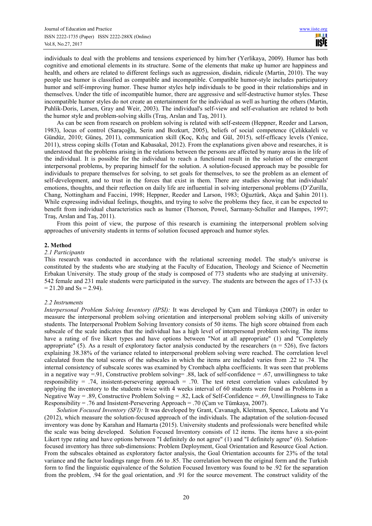individuals to deal with the problems and tensions experienced by him/her (Yerlikaya, 2009). Humor has both cognitive and emotional elements in its structure. Some of the elements that make up humor are happiness and health, and others are related to different feelings such as aggression, disdain, ridicule (Martin, 2010). The way people use humor is classified as compatible and incompatible. Compatible humor-style includes participatory humor and self-improving humor. These humor styles help individuals to be good in their relationships and in themselves. Under the title of incompatible humor, there are aggressive and self-destructive humor styles. These incompatible humor styles do not create an entertainment for the individual as well as hurting the others (Martin, Puhlik-Doris, Larsen, Gray and Weir, 2003). The individual's self-view and self-evaluation are related to both the humor style and problem-solving skills (Traş, Arslan and Taş, 2011).

As can be seen from research on problem solving is related with self-esteem (Heppner, Reeder and Larson, 1983), locus of control (Saraçoğlu, Serin and Bozkurt, 2005), beliefs of social competence (Çelikkaleli ve Gündüz, 2010; Güneş, 2011), communication skill (Koç, Kılıç and Gül, 2015), self-efficacy levels (Yenice, 2011), stress coping skills (Totan and Kabasakal, 2012). From the explanations given above and researches, it is understood that the problems arising in the relations between the persons are affected by many areas in the life of the individual. It is possible for the individual to reach a functional result in the solution of the emergent interpersonal problems, by preparing himself for the solution. A solution-focused approach may be possible for individuals to prepare themselves for solving, to set goals for themselves, to see the problem as an element of self-development, and to trust in the forces that exist in them. There are studies showing that individuals' emotions, thoughts, and their reflection on daily life are influential in solving interpersonal problems (D'Zurilla, Chang, Nottingham and Faccini, 1998; Heppner, Reeder and Larson, 1983; Oğuztürk, Akça and Şahin 2011). While expressing individual feelings, thoughts, and trying to solve the problems they face, it can be expected to benefit from individual characteristics such as humor (Thorson, Powel, Sarmany-Schuller and Hampes, 1997; Traş, Arslan and Taş, 2011).

From this point of view, the purpose of this research is examining the interpersonal problem solving approaches of university students in terms of solution focused approach and humor styles.

#### **2. Method**

#### *2.1 Participants*

This research was conducted in accordance with the relational screening model. The study's universe is constituted by the students who are studying at the Faculty of Education, Theology and Science of Necmettin Erbakan University. The study group of the study is composed of 773 students who are studying at university. 542 female and 231 male students were participated in the survey. The students are between the ages of 17-33 (x  $= 21.20$  and Ss = 2.94).

#### *2.2 Instruments*

*Interpersonal Problem Solving Inventory (IPSI):* It was developed by Çam and Tümkaya (2007) in order to measure the interpersonal problem solving orientation and interpersonal problem solving skills of university students. The Interpersonal Problem Solving Inventory consists of 50 items. The high score obtained from each subscale of the scale indicates that the individual has a high level of interpersonal problem solving. The items have a rating of five likert types and have options between "Not at all appropriate" (1) and "Completely appropriate" (5). As a result of exploratory factor analysis conducted by the researchers ( $n = 526$ ), five factors explaining 38.38% of the variance related to interpersonal problem solving were reached. The correlation level calculated from the total scores of the subscales in which the items are included varies from .22 to .74. The internal consistency of subscale scores was examined by Crombach alpha coefficients. It was seen that problems in a negative way =.91, Constructive problem solving= .88, lack of self-confidence = .67, unwillingness to take responsibility = .74, insistent-persevering approach = .70. The test retest correlation values calculated by applying the inventory to the students twice with 4 weeks interval of 60 students were found as Problems in a Negative Way = .89, Constructive Problem Solving = .82, Lack of Self-Confidence = .69, Unwillingness to Take Responsibility  $=$  .76 and Insistent-Persevering Approach  $=$  .70 (Cam ve Tümkaya, 2007).

*Solution Focused Inventory (SFI):* It was developed by Grant, Cavanagh, Kleitman, Spence, Lakota and Yu (2012), which measure the solution-focused approach of the individuals. The adaptation of the solution-focused inventory was done by Karahan and Hamarta (2015). University students and professionals were benefited while the scale was being developed. Solution Focused Inventory consists of 12 items. The items have a six-point Likert type rating and have options between "I definitely do not agree" (1) and "I definitely agree" (6). Solutionfocused inventory has three sub-dimensions: Problem Deployment, Goal Orientation and Resource Goal Action. From the subscales obtained as exploratory factor analysis, the Goal Orientation accounts for 23% of the total variance and the factor loadings range from .66 to .85. The correlation between the original form and the Turkish form to find the linguistic equivalence of the Solution Focused Inventory was found to be .92 for the separation from the problem, .94 for the goal orientation, and .91 for the source movement. The construct validity of the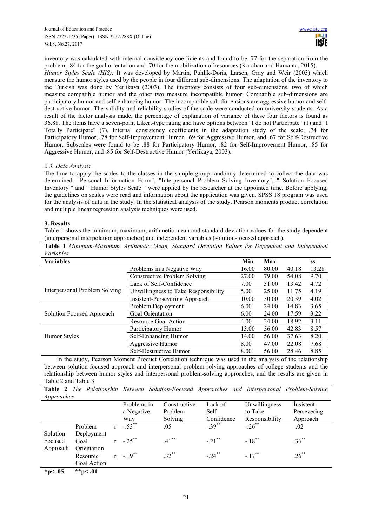inventory was calculated with internal consistency coefficients and found to be .77 for the separation from the problem, .84 for the goal orientation and .70 for the mobilization of resources (Karahan and Hamanta, 2015). *Humor Styles Scale (HIS):* It was developed by Martin, Puhlik-Doris, Larsen, Gray and Weir (2003) which measure the humor styles used by the people in four different sub-dimensions. The adaptation of the inventory to the Turkish was done by Yerlikaya (2003). The inventory consists of four sub-dimensions, two of which measure compatible humor and the other two measure incompatible humor. Compatible sub-dimensions are participatory humor and self-enhancing humor. The incompatible sub-dimensions are aggressive humor and selfdestructive humor. The validity and reliability studies of the scale were conducted on university students. As a result of the factor analysis made, the percentage of explanation of variance of these four factors is found as 36.88. The items have a seven-point Likert-type rating and have options between "I do not Participate" (1) and "I Totally Participate" (7). Internal consistency coefficients in the adaptation study of the scale; .74 for Participatory Humor, .78 for Self-Improvement Humor, .69 for Aggressive Humor, and .67 for Self-Destructive Humor. Subscales were found to be .88 for Participatory Humor, .82 for Self-Improvement Humor, .85 for Aggressive Humor, and .85 for Self-Destructive Humor (Yerlikaya, 2003).

# *2.3. Data Analysis*

The time to apply the scales to the classes in the sample group randomly determined to collect the data was determined. "Personal Information Form", "Interpersonal Problem Solving Inventory", " Solution Focused Inventory " and " Humor Styles Scale " were applied by the researcher at the appointed time. Before applying, the guidelines on scales were read and information about the application was given. SPSS 18 program was used for the analysis of data in the study. In the statistical analysis of the study, Pearson moments product correlation and multiple linear regression analysis techniques were used.

# **3. Results**

Table 1 shows the minimum, maximum, arithmetic mean and standard deviation values for the study dependent (interpersonal interpolation approaches) and independent variables (solution-focused approach).

|           | Table 1 Minimum-Maximum, Arithmetic Mean, Standard Deviation Values for Dependent and Independent |  |  |  |  |  |
|-----------|---------------------------------------------------------------------------------------------------|--|--|--|--|--|
| Variables |                                                                                                   |  |  |  |  |  |

| , ui iuu iu                   |                                      |       |       |       |           |
|-------------------------------|--------------------------------------|-------|-------|-------|-----------|
| <b>Variables</b>              |                                      | Min   | Max   |       | <b>SS</b> |
|                               | Problems in a Negative Way           | 16.00 | 80.00 | 40.18 | 13.28     |
|                               | <b>Constructive Problem Solving</b>  | 27.00 | 79.00 | 54.08 | 9.70      |
|                               | Lack of Self-Confidence              | 7.00  | 31.00 | 13.42 | 4.72      |
| Interpersonal Problem Solving | Unwillingness to Take Responsibility | 5.00  | 25.00 | 11.75 | 4.19      |
|                               | Insistent-Persevering Approach       | 10.00 | 30.00 | 20.39 | 4.02      |
|                               | Problem Deployment                   | 6.00  | 24.00 | 14.83 | 3.65      |
| Solution Focused Approach     | Goal Orientation                     | 6.00  | 24.00 | 17.59 | 3.22      |
|                               | Resource Goal Action                 | 4.00  | 24.00 | 18.92 | 3.11      |
|                               | Participatory Humor                  | 13.00 | 56.00 | 42.83 | 8.57      |
| Humor Styles                  | Self-Enhancing Humor                 | 14.00 | 56.00 | 37.63 | 8.20      |
|                               | Aggressive Humor                     | 8.00  | 47.00 | 22.08 | 7.68      |
|                               | Self-Destructive Humor               | 8.00  | 56.00 | 28.46 | 8.85      |
|                               |                                      |       |       |       |           |

In the study, Pearson Moment Product Correlation technique was used in the analysis of the relationship between solution-focused approach and interpersonal problem-solving approaches of college students and the relationship between humor styles and interpersonal problem-solving approaches, and the results are given in Table 2 and Table 3.

**Table 2** *The Relationship Between Solution-Focused Approaches and Interpersonal Problem-Solving Approaches*

|                      |                         | Problems in<br>a Negative<br>Wav | Constructive<br>Problem<br>Solving | Lack of<br>Self-<br>Confidence | Unwillingness<br>to Take<br>Responsibility | Insistent-<br>Persevering<br>Approach |
|----------------------|-------------------------|----------------------------------|------------------------------------|--------------------------------|--------------------------------------------|---------------------------------------|
| Solution             | Problem<br>Deployment   | $-53^{**}$                       | .05                                | $-39^{**}$                     | $-.26$ <sup>**</sup>                       | $-.02$                                |
| Focused<br>Approach  | Goal<br>Orientation     | $r = 25^{**}$                    | $.41***$                           | $-.21$ <sup>**</sup>           | $-18^{**}$                                 | $.36***$                              |
|                      | Resource<br>Goal Action | $r = 19^{**}$                    | $.32***$                           | $-.24$ **                      | $-17^{**}$                                 | $.26***$                              |
| $\sim$ $\sim$ $\sim$ | .                       |                                  |                                    |                                |                                            |                                       |

**\*p< .05 \*\*p< .01**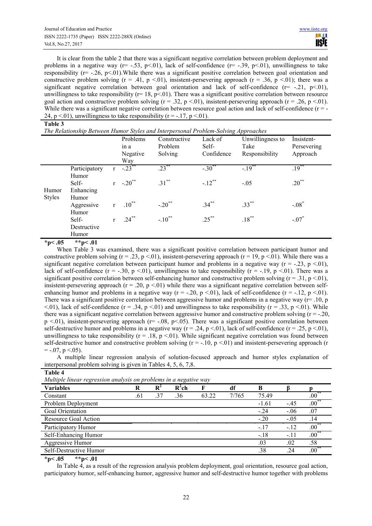It is clear from the table 2 that there was a significant negative correlation between problem deployment and problems in a negative way ( $r = -.53$ ,  $p < 01$ ), lack of self-confidence ( $r = -.39$ ,  $p < 01$ ), unwillingness to take responsibility ( $r = -0.26$ ,  $p < 0.01$ ). While there was a significant positive correlation between goal orientation and constructive problem solving (r = .41, p < 01), insistent-persevering approach (r = .36, p < 01); there was a significant negative correlation between goal orientation and lack of self-confidence  $(r=-21, p<0.01)$ , unwillingness to take responsibility ( $r= 18$ ,  $p<01$ ). There was a significant positive correlation between resource goal action and constructive problem solving ( $r = .32$ ,  $p < .01$ ), insistent-persevering approach ( $r = .26$ ,  $p < .01$ ). While there was a significant negative correlation between resource goal action and lack of self-confidence  $(r = -1)$ 24, p <.01), unwillingness to take responsibility ( $r = -17$ , p <.01).

|                        |                                 |   |                                     | The Relationship Between Humor Styles and Interpersonal Problem-Solving Approaches |                                   |                                            |                                       |
|------------------------|---------------------------------|---|-------------------------------------|------------------------------------------------------------------------------------|-----------------------------------|--------------------------------------------|---------------------------------------|
|                        |                                 |   | Problems<br>in a<br>Negative<br>Way | Constructive<br>Problem<br>Solving                                                 | Lack of<br>Self-<br>Confidence    | Unwillingness to<br>Take<br>Responsibility | Insistent-<br>Persevering<br>Approach |
|                        | Participatory<br>Humor<br>Self- |   | $-23$<br>$r - 20$ **                | $.23***$<br>$.31***$                                                               | $-.30$ <sup>**</sup><br>$-.12$ ** | $-19^{**}$<br>$-.05$                       | $.19***$<br>$.20^{**}$                |
| Humor<br><b>Styles</b> | Enhancing<br>Humor              |   |                                     |                                                                                    |                                   |                                            |                                       |
|                        | Aggressive<br>Humor             | r | $.10^{**}$                          | $-.20$ <sup>**</sup>                                                               | $.34***$                          | $.33***$                                   | $-.08*$                               |
|                        | Self-<br>Destructive            | r | $.24***$                            | $-.10$ <sup>**</sup>                                                               | $.25***$                          | $.18***$                                   | $-.07*$                               |
|                        | Humor                           |   |                                     |                                                                                    |                                   |                                            |                                       |

 $*_{p<.05}$   $*_{p<.01}$ 

When Table 3 was examined, there was a significant positive correlation between participant humor and constructive problem solving (r = .23, p < 01), insistent-persevering approach (r = 19, p < 01). While there was a significant negative correlation between participant humor and problems in a negative way ( $r = -0.23$ ,  $p < 0.01$ ), lack of self-confidence (r = -.30, p <.01), unwillingness to take responsibility (r = -.19, p <.01). There was a significant positive correlation between self-enhancing humor and constructive problem solving  $(r = .31, p < .01)$ , insistent-persevering approach ( $r = 0.20$ ,  $p < 01$ ) while there was a significant negative correlation between selfenhancing humor and problems in a negative way ( $r = -20$ ,  $p < 01$ ), lack of self-confidence ( $r = -12$ ,  $p < 01$ ). There was a significant positive correlation between aggressive humor and problems in a negative way ( $r=10$ , p  $\leq$ .01), lack of self-confidence (r = .34, p  $\leq$ .01) and unwillingness to take responsibility (r = .33, p  $\leq$ .01). While there was a significant negative correlation between aggressive humor and constructive problem solving  $(r = -20$ ,  $p \le 01$ ), insistent-persevering approach (r= -.08, p $\le 0.05$ ). There was a significant positive correlation between self-destructive humor and problems in a negative way  $(r = .24, p < .01)$ , lack of self-confidence  $(r = .25, p < .01)$ , unwillingness to take responsibility ( $r = .18$ ,  $p < .01$ ). While significant negative correlation was found between self-destructive humor and constructive problem solving  $(r = -10, p < 01)$  and insistent-persevering approach (r  $=$  -.07, p <.05).

A multiple linear regression analysis of solution-focused approach and humor styles explanation of interpersonal problem solving is given in Tables 4, 5, 6, 7,8.

| Table 4                                                           |     |       |          |       |       |         |        |             |
|-------------------------------------------------------------------|-----|-------|----------|-------|-------|---------|--------|-------------|
| Multiple linear regression analysis on problems in a negative way |     |       |          |       |       |         |        |             |
| <b>Variables</b>                                                  | R   | $R^2$ | $R^2$ ch | F     | df    | B       |        |             |
| Constant                                                          | .61 | .37   | .36      | 63.22 | 7/765 | 75.49   |        | $.00^{**}$  |
| Problem Deployment                                                |     |       |          |       |       | $-1.61$ | $-.45$ | $.00^{*}$   |
| Goal Orientation                                                  |     |       |          |       |       | $-.24$  | $-.06$ | .07         |
| Resource Goal Action                                              |     |       |          |       |       | $-.20$  | $-.05$ | .14         |
| Participatory Humor                                               |     |       |          |       |       | $-.17$  | $-.12$ | $.00***$    |
| Self-Enhancing Humor                                              |     |       |          |       |       | $-.18$  | $-11$  | $.00***$    |
| Aggressive Humor                                                  |     |       |          |       |       | .03     | .02    | .58         |
| Self-Destructive Humor                                            |     |       |          |       |       | .38     | .24    | $.00^\circ$ |
|                                                                   |     |       |          |       |       |         |        |             |

**\*p< .05 \*\*p< .01** 

In Table 4, as a result of the regression analysis problem deployment, goal orientation, resource goal action, participatory humor, self-enhancing humor, aggressive humor and self-destructive humor together with problems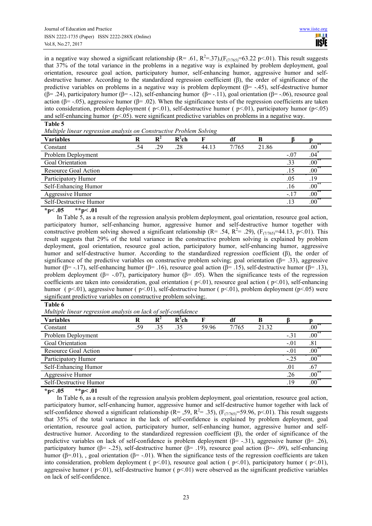in a negative way showed a significant relationship ( $R = .61$ ,  $R^2 = .37$ ), $(F_{(7/765)} = 63.22 \text{ p} < .01)$ . This result suggests that 37% of the total variance in the problems in a negative way is explained by problem deployment, goal orientation, resource goal action, participatory humor, self-enhancing humor, aggressive humor and selfdestructive humor. According to the standardized regression coefficient (β), the order of significance of the predictive variables on problems in a negative way is problem deployment ( $\beta$ = -.45), self-destructive humor ( $\beta$ = .24), participatory humor ( $\beta$ = -.12), self-enhancing humor ( $\beta$ = -.11), goal orientation ( $\beta$ = -.06), resource goal action ( $\beta$ = -.05), aggressive humor ( $\beta$ = .02). When the significance tests of the regression coefficients are taken into consideration, problem deployment ( $p<01$ ), self-destructive humor ( $p<01$ ), participatory humor ( $p<05$ ) and self-enhancing humor ( $p<0.05$ ), were significant predictive variables on problems in a negative way.

#### **Table 5**

*Multiple linear regression analysis on Constructive Problem Solving* 

| <b>Variables</b>       | R   | $\mathbf{R}^2$ | $R^2$ ch |       | df    | В     |        |                 |
|------------------------|-----|----------------|----------|-------|-------|-------|--------|-----------------|
| Constant               | .54 | .29            | .28      | 44.13 | 7/765 | 21.86 |        | $.00^{\degree}$ |
| Problem Deployment     |     |                |          |       |       |       | $-.07$ | .04             |
| Goal Orientation       |     |                |          |       |       |       | .33    | $.00^\circ$     |
| Resource Goal Action   |     |                |          |       |       |       | .15    | $.00\degree$    |
| Participatory Humor    |     |                |          |       |       |       | .05    | .19             |
| Self-Enhancing Humor   |     |                |          |       |       |       | .16    | $.00\degree$    |
| Aggressive Humor       |     |                |          |       |       |       | $-.17$ | $.00^{\degree}$ |
| Self-Destructive Humor |     |                |          |       |       |       | .13    | $.00\,$         |
| .                      |     |                |          |       |       |       |        |                 |

 $*_{p<.05}$   $*_{p<.01}$ 

In Table 5, as a result of the regression analysis problem deployment, goal orientation, resource goal action, participatory humor, self-enhancing humor, aggressive humor and self-destructive humor together with constructive problem solving showed a significant relationship (R= .54, R<sup>2</sup>= .29), (F<sub>(7/765)</sub>=44.13, p<.01). This result suggests that 29% of the total variance in the constructive problem solving is explained by problem deployment, goal orientation, resource goal action, participatory humor, self-enhancing humor, aggressive humor and self-destructive humor. According to the standardized regression coefficient (β), the order of significance of the predictive variables on constructive problem solving; goal orientation ( $\beta$ = .33), aggressive humor (β= -.17), self-enhancing humor (β= .16), resource goal action (β= .15), self-destructive humor (β= .13), problem deployment ( $\beta$ = -.07), participatory humor ( $\beta$ = .05). When the significance tests of the regression coefficients are taken into consideration, goal orientation ( $p<01$ ), resource goal action ( $p<01$ ), self-enhancing humor (  $p<01$ ), aggressive humor (  $p<01$ ), self-destructive humor (  $p<01$ ), problem deployment ( $p<05$ ) were significant predictive variables on constructive problem solving;

# **Table 6**

*Multiple linear regression analysis on lack of self-confidence*

| <b>Variables</b>       | R   | $R^2$ | $R^2$ ch |       | df    | В     |        |          |
|------------------------|-----|-------|----------|-------|-------|-------|--------|----------|
| Constant               | .59 | .35   | .35      | 59.96 | 7/765 | 21.32 |        | $.00\,$  |
| Problem Deployment     |     |       |          |       |       |       | $-.31$ | $.00**$  |
| Goal Orientation       |     |       |          |       |       |       | $-.01$ | .81      |
| Resource Goal Action   |     |       |          |       |       |       | $-.01$ | $.00\,$  |
| Participatory Humor    |     |       |          |       |       |       | $-25$  | $.00***$ |
| Self-Enhancing Humor   |     |       |          |       |       |       | .01    | .67      |
| Aggressive Humor       |     |       |          |       |       |       | .26    | $.00***$ |
| Self-Destructive Humor |     |       |          |       |       |       | .19    | $.00**$  |
| $4 - 0.5$<br>$44 - 01$ |     |       |          |       |       |       |        |          |

**\*p< .05 \*\*p< .01** 

In Table 6, as a result of the regression analysis problem deployment, goal orientation, resource goal action, participatory humor, self-enhancing humor, aggressive humor and self-destructive humor together with lack of self-confidence showed a significant relationship ( $R = 0.59$ ,  $R^2 = 0.35$ ), ( $F_{(7/765)} = 59.96$ , p<0.01). This result suggests that 35% of the total variance in the lack of self-confidence is explained by problem deployment, goal orientation, resource goal action, participatory humor, self-enhancing humor, aggressive humor and selfdestructive humor. According to the standardized regression coefficient (β), the order of significance of the predictive variables on lack of self-confidence is problem deployment ( $\beta$ = -.31), aggressive humor ( $\beta$ = .26), participatory humor ( $\beta$ = -.25), self-destructive humor ( $\beta$ = .19), resource goal action ( $\beta$ = -.09), self-enhancing humor ( $\beta$ =.01), , goal orientation ( $\beta$ = -.01). When the significance tests of the regression coefficients are taken into consideration, problem deployment ( $p<01$ ), resource goal action ( $p<01$ ), participatory humor ( $p<01$ ), aggressive humor ( $p<01$ ), self-destructive humor ( $p<01$ ) were observed as the significant predictive variables on lack of self-confidence.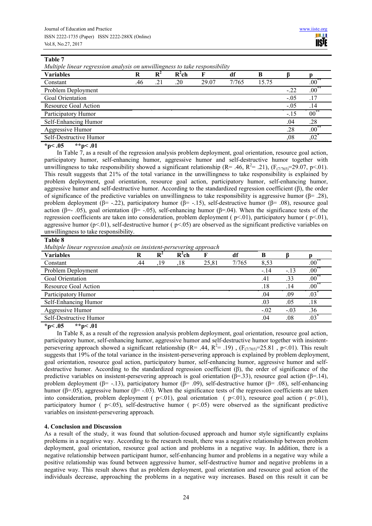**Table 7** 

*Multiple linear regression analysis on unwillingness to take responsibility* 

| <b>Variables</b>       |     | $\mathbf{R}^2$ | $R^2ch$ |       | df    | B     |         |            |
|------------------------|-----|----------------|---------|-------|-------|-------|---------|------------|
| Constant               | .46 | .21            | .20     | 29.07 | 7/765 | 15.75 |         | $.00***$   |
| Problem Deployment     |     |                |         |       |       |       | $-.22$  | $.00^{**}$ |
| Goal Orientation       |     |                |         |       |       |       | $-.05$  | .17        |
| Resource Goal Action   |     |                |         |       |       |       | $-.05$  | .14        |
| Participatory Humor    |     |                |         |       |       |       | $-.15$  | $00^{**}$  |
| Self-Enhancing Humor   |     |                |         |       |       |       | .04     | .28        |
| Aggressive Humor       |     |                |         |       |       |       | .28     | $.00^{**}$ |
| Self-Destructive Humor |     |                |         |       |       |       | $.08\,$ | ,02        |

 $*_{p}<.05$   $*_{p}<.01$ 

In Table 7, as a result of the regression analysis problem deployment, goal orientation, resource goal action, participatory humor, self-enhancing humor, aggressive humor and self-destructive humor together with unwillingness to take responsibility showed a significant relationship (R= .46, R<sup>2</sup>= .21), (F<sub>(7/765)</sub>=29.07, p<.01). This result suggests that 21% of the total variance in the unwillingness to take responsibility is explained by problem deployment, goal orientation, resource goal action, participatory humor, self-enhancing humor, aggressive humor and self-destructive humor. According to the standardized regression coefficient (β), the order of significance of the predictive variables on unwillingness to take responsibility is aggressive humor ( $\beta$ = .28), problem deployment (β= -.22), participatory humor (β= -.15), self-destructive humor (β= .08), resource goal action (β=- .05), goal orientation (β= -.05), self-enhancing humor (β=.04). When the significance tests of the regression coefficients are taken into consideration, problem deployment ( $p<01$ ), participatory humor ( $p<01$ ), aggressive humor ( $p<01$ ), self-destructive humor ( $p<05$ ) are observed as the significant predictive variables on unwillingness to take responsibility.

**Table 8** 

*Multiple linear regression analysis on insistent-persevering approach* 

| <b>Variables</b>       |     | $\mathbf{R}^2$ | $R^2$ ch |       | df    |        |        |              |
|------------------------|-----|----------------|----------|-------|-------|--------|--------|--------------|
| Constant               | .44 | .19            | .18      | 25,81 | 7/765 | 8.53   |        | $_{.00}$     |
| Problem Deployment     |     |                |          |       |       | $-.14$ | $-.13$ | $.00\degree$ |
| Goal Orientation       |     |                |          |       |       | .41    | .33    | $.00***$     |
| Resource Goal Action   |     |                |          |       |       | .18    | .14    | $.00^{**}$   |
| Participatory Humor    |     |                |          |       |       | .04    | .09    | .03          |
| Self-Enhancing Humor   |     |                |          |       |       | .03    | .05    | .18          |
| Aggressive Humor       |     |                |          |       |       | $-.02$ | $-.03$ | .36          |
| Self-Destructive Humor |     |                |          |       |       | .04    | .08    | .03          |

 $*_{p}<.05$   $*_{p}<.01$ 

In Table 8, as a result of the regression analysis problem deployment, goal orientation, resource goal action, participatory humor, self-enhancing humor, aggressive humor and self-destructive humor together with insistentpersevering approach showed a significant relationship (R= .44, R<sup>2</sup>= .19), ( $F_{(7/765)}$ =25.81, p<.01). This result suggests that 19% of the total variance in the insistent-persevering approach is explained by problem deployment, goal orientation, resource goal action, participatory humor, self-enhancing humor, aggressive humor and selfdestructive humor. According to the standardized regression coefficient (β), the order of significance of the predictive variables on insistent-persevering approach is goal orientation ( $\beta$ =.33), resource goal action ( $\beta$ =.14), problem deployment (β= -.13), participatory humor (β= .09), self-destructive humor (β= .08), self-enhancing humor (β=.05), aggressive humor (β= -.03). When the significance tests of the regression coefficients are taken into consideration, problem deployment ( $p<01$ ), goal orientation ( $p<01$ ), resource goal action ( $p<01$ ), participatory humor ( p<.05), self-destructive humor ( p<.05) were observed as the significant predictive variables on insistent-persevering approach.

# **4. Conclusion and Discussion**

As a result of the study, it was found that solution-focused approach and humor style significantly explains problems in a negative way. According to the research result, there was a negative relationship between problem deployment, goal orientation, resource goal action and problems in a negative way. In addition, there is a negative relationship between participant humor, self-enhancing humor and problems in a negative way while a positive relationship was found between aggressive humor, self-destructive humor and negative problems in a negative way. This result shows that as problem deployment, goal orientation and resource goal action of the individuals decrease, approaching the problems in a negative way increases. Based on this result it can be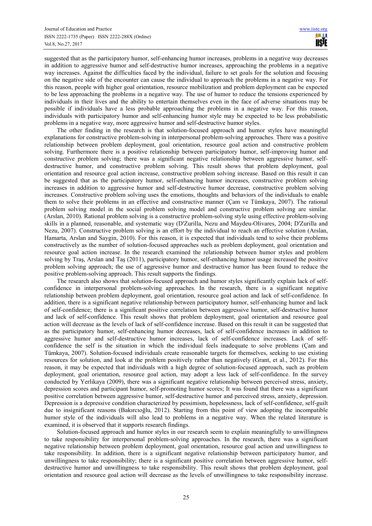suggested that as the participatory humor, self-enhancing humor increases, problems in a negative way decreases in addition to aggressive humor and self-destructive humor increases, approaching the problems in a negative way increases. Against the difficulties faced by the individual, failure to set goals for the solution and focusing on the negative side of the encounter can cause the individual to approach the problems in a negative way. For this reason, people with higher goal orientation, resource mobilization and problem deployment can be expected to be less approaching the problems in a negative way. The use of humor to reduce the tensions experienced by individuals in their lives and the ability to entertain themselves even in the face of adverse situations may be possible if individuals have a less probable approaching the problems in a negative way. For this reason, individuals with participatory humor and self-enhancing humor style may be expected to be less probabilistic problems in a negative way, more aggressive humor and self-destructive humor styles.

The other finding in the research is that solution-focused approach and humor styles have meaningful explanations for constructive problem-solving in interpersonal problem-solving approaches. There was a positive relationship between problem deployment, goal orientation, resource goal action and constructive problem solving. Furthermore there is a positive relationship between participatory humor, self-improving humor and constructive problem solving; there was a significant negative relationship between aggressive humor, selfdestructive humor, and constructive problem solving. This result shows that problem deployment, goal orientation and resource goal action increase, constructive problem solving increase. Based on this result it can be suggested that as the participatory humor, self-enhancing humor increases, constructive problem solving increases in addition to aggressive humor and self-destructive humor decrease, constructive problem solving increases. Constructive problem solving uses the emotions, thoughts and behaviors of the individuals to enable them to solve their problems in an effective and constructive manner (Çam ve Tümkaya, 2007). The rational problem solving model in the social problem solving model and constructive problem solving are similar. (Arslan, 2010). Rational problem solving is a constructive problem-solving style using effective problem-solving skills in a planned, reasonable, and systematic way (D'Zurilla, Nezu and Maydeu-Olivares, 2004; D'Zurilla and Nezu, 2007). Constructive problem solving is an effort by the individual to reach an effective solution (Arslan, Hamarta, Arslan and Saygin, 2010). For this reason, it is expected that individuals tend to solve their problems constructively as the number of solution-focused approaches such as problem deployment, goal orientation and resource goal action increase. In the research examined the relationship between humor styles and problem solving by Traş, Arslan and Taş (2011), participatory humor, self-enhancing humor usage increased the positive problem solving approach; the use of aggressive humor and destructive humor has been found to reduce the positive problem-solving approach. This result supports the findings.

The research also shows that solution-focused approach and humor styles significantly explain lack of selfconfidence in interpersonal problem-solving approaches. In the research, there is a significant negative relationship between problem deployment, goal orientation, resource goal action and lack of self-confidence. In addition, there is a significant negative relationship between participatory humor, self-enhancing humor and lack of self-confidence; there is a significant positive correlation between aggressive humor, self-destructive humor and lack of self-confidence. This result shows that problem deployment, goal orientation and resource goal action will decrease as the levels of lack of self-confidence increase. Based on this result it can be suggested that as the participatory humor, self-enhancing humor decreases, lack of self-confidence increases in addition to aggressive humor and self-destructive humor increases, lack of self-confidence increases. Lack of selfconfidence the self is the situation in which the individual feels inadequate to solve problems (Çam and Tümkaya, 2007). Solution-focused individuals create reasonable targets for themselves, seeking to use existing resources for solution, and look at the problem positively rather than negatively (Grant, et al., 2012). For this reason, it may be expected that individuals with a high degree of solution-focused approach, such as problem deployment, goal orientation, resource goal action, may adopt a less lack of self-confidence. In the survey conducted by Yerlikaya (2009), there was a significant negative relationship between perceived stress, anxiety, depression scores and participant humor, self-promoting humor scores; It was found that there was a significant positive correlation between aggressive humor, self-destructive humor and perceived stress, anxiety, depression. Depression is a depressive condition characterized by pessimism, hopelessness, lack of self-confidence, self-guilt due to insignificant reasons (Bakırcıoğlu, 2012). Starting from this point of view adopting the incompatible humor style of the individuals will also lead to problems in a negative way. When the related literature is examined, it is observed that it supports research findings.

Solution-focused approach and humor styles in our research seem to explain meaningfully to unwillingness to take responsibility for interpersonal problem-solving approaches. In the research, there was a significant negative relationship between problem deployment, goal orientation, resource goal action and unwillingness to take responsibility. In addition, there is a significant negative relationship between participatory humor, and unwillingness to take responsibility; there is a significant positive correlation between aggressive humor, selfdestructive humor and unwillingness to take responsibility. This result shows that problem deployment, goal orientation and resource goal action will decrease as the levels of unwillingness to take responsibility increase.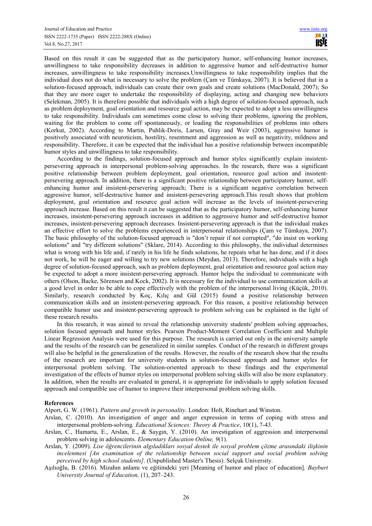Based on this result it can be suggested that as the participatory humor, self-enhancing humor increases, unwillingness to take responsibility decreases in addition to aggressive humor and self-destructive humor increases, unwillingness to take responsibility increases.Unwillingness to take responsibility implies that the individual does not do what is necessary to solve the problem (Çam ve Tümkaya, 2007). It is believed that in a solution-focused approach, individuals can create their own goals and create solutions (MacDonald, 2007); So that they are more eager to undertake the responsibility of displaying, acting and changing new behaviors (Selekman, 2005). It is therefore possible that individuals with a high degree of solution-focused approach, such as problem deployment, goal orientation and resource goal action, may be expected to adopt a less unwillingness to take responsibility. Individuals can sometimes come close to solving their problems, ignoring the problem, waiting for the problem to come off spontaneously, or loading the responsibilities of problems into others (Korkut, 2002). According to Martin, Puhlik-Doris, Larsen, Gray and Weir (2003), aggressive humor is positively associated with neuroticism, hostility, resentment and aggression as well as negativity, mildness and responsibility. Therefore, it can be expected that the individual has a positive relationship between incompatible humor styles and unwillingness to take responsibility.

According to the findings, solution-focused approach and humor styles significantly explain insistentpersevering approach in interpersonal problem-solving approaches. In the research, there was a significant positive relationship between problem deployment, goal orientation, resource goal action and insistentpersevering approach. In addition, there is a significant positive relationship between participatory humor, selfenhancing humor and insistent-persevering approach; There is a significant negative correlation between aggressive humor, self-destructive humor and insistent-persevering approach.This result shows that problem deployment, goal orientation and resource goal action will increase as the levels of insistent-persevering approach increase. Based on this result it can be suggested that as the participatory humor, self-enhancing humor increases, insistent-persevering approach increases in addition to aggressive humor and self-destructive humor increases, insistent-persevering approach decreases. Insistent-persevering approach is that the individual makes an effective effort to solve the problems experienced in interpersonal relationships (Çam ve Tümkaya, 2007). The basic philosophy of the solution-focused approach is "don't repair if not corrupted", "do insist on working solutions" and "try different solutions" (Sklare, 2014). According to this philosophy, the individual determines what is wrong with his life and, if rarely in his life he finds solutions, he repeats what he has done, and if it does not work, he will be eager and willing to try new solutions (Meydan, 2013). Therefore, individuals with a high degree of solution-focused approach, such as problem deployment, goal orientation and resource goal action may be expected to adopt a more insistent-persevering approach. Humor helps the individual to communicate with others (Olson, Backe, Sörensen and Kock, 2002). It is necessary for the individual to use communication skills at a good level in order to be able to cope effectively with the problem of the interpersonal living (Küçük, 2010). Similarly, research conducted by Koç, Kılıç and Gül (2015) found a positive relationship between communication skills and an insistent-persevering approach. For this reason, a positive relationship between compatible humor use and insistent-persevering approach to problem solving can be explained in the light of these research results.

In this research, it was aimed to reveal the relationship university students' problem solving approaches, solution focused approach and humor styles. Pearson Product-Moment Correlation Coefficient and Multiple Linear Regression Analysis were used for this purpose. The research is carried out only in the university sample and the results of the research can be generalized in similar samples. Conduct of the research in different groups will also be helpful in the generalization of the results. However, the results of the research show that the results of the research are important for university students in solution-focused approach and humor styles for interpersonal problem solving. The solution-oriented approach to these findings and the experimental investigation of the effects of humor styles on interpersonal problem solving skills will also be more explanatory. In addition, when the results are evaluated in general, it is appropriate for individuals to apply solution focused approach and compatible use of humor to improve their interpersonal problem solving skills.

#### **References**

Alport, G. W. (1961). *Pattern and growth in personality*. London: Holt, Rinehart and Winston.

- Arslan, C. (2010). An investigation of anger and anger expression in terms of coping with stress and interpersonal problem-solving*. Educational Sciences: Theory & Practice*, 10(1), 7-43.
- Arslan, C., Hamarta, E., Arslan, E., & Saygın, Y. (2010). An investigation of aggression and interpersonal problem solving in adolescents. *Elementary Education Online, 9*(1).
- Arslan, Y. (2009). *Lise öğrencilerinin algıladıkları sosyal destek ile sosyal problem çözme arasındaki ilişkinin incelenmesi [An examination of the relationship between social support and social problem solving perceived by high school students]*. (Unpublished Master's Thesis). Selçuk University.
- Aşılıoğlu, B. (2016). Mizahın anlamı ve eğitimdeki yeri [Meaning of humor and place of education]. *Bayburt University Journal of Education,* (1), 207–243.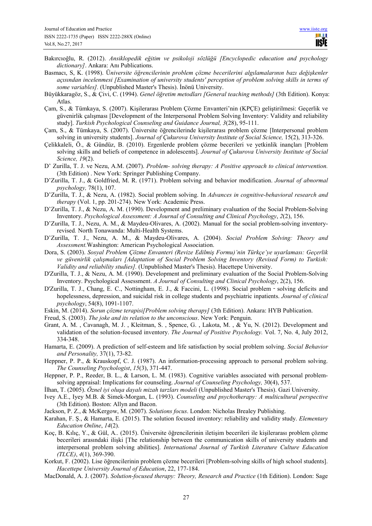- Bakırcıoğlu, R. (2012). *Ansiklopedik eğitim ve psikoloji sözlüğü [Encyclopedic education and psychology dictionary]*. Ankara: Anı Publications.
- Basmacı, S, K. (1998). Ü*niversite öğrencilerinin problem çözme becerilerini algılamalarının bazı değişkenler açısından incelenmesi [Examination of university students' perception of problem solving skills in terms of some variables].* (Unpublished Master's Thesis). İnönü University.
- Büyükkaragöz, S., & Çivi, C. (1994). *Genel öğretim metodları [General teaching methods]* (3th Edition). Konya: Atlas.
- Çam, S., & Tümkaya, S. (2007). Kişilerarası Problem Çözme Envanteri'nin (KPÇE) geliştirilmesi: Geçerlik ve güvenirlik çalışması [Development of the Interpersonal Problem Solving Inventory: Validity and reliability study]. *Turkish Psychological Counseling and Guidance Journal, 3*(28), 95-111.
- Çam, S., & Tümkaya, S. (2007). Üniversite öğrencilerinde kişilerarası problem çözme [Interpersonal problem solving in university students]. *Journal of Çukurova University Institute of Social Science*, 15(2), 313-326.
- Çelikkaleli, Ö., & Gündüz, B. (2010). Ergenlerde problem çözme becerileri ve yetkinlik inançları [Problem solving skills and beliefs of competence in adolescents]. *Journal of Çukurova University Institute of Social Science, 19*(2).
- D' Zurilla, T. J. ve Nezu, A.M. (2007). *Problem- solving therapy: A Positive approach to clinical intervention.*  (3th Edition) . New York: Springer Publishing Company.
- D'Zurilla, T. J., & Goldfried, M. R. (1971). Problem solving and behavior modification. *Journal of abnormal psychology,* 78(1), 107.
- D'Zurilla, T. J., & Nezu, A. (1982). Social problem solving. In *Advances in cognitive-behavioral research and therapy* (Vol. 1, pp. 201-274). New York: Academic Press.
- D'Zurilla, T. J., & Nezu, A. M. (1990). Development and preliminary evaluation of the Social Problem-Solving Inventory. *Psychological Assessment: A Journal of Consulting and Clinical Psychology*, *2*(2), 156.
- D'Zurilla, T. J., Nezu, A. M., & Maydeu-Olivares, A. (2002). Manual for the social problem-solving inventoryrevised*.* North Tonawanda: Multi-Health Systems.
- D'Zurilla, T. J., Nezu, A. M., & Maydeu-Olivares, A. (2004). *Social Problem Solving: Theory and Assessment.*Washington: American Psychological Association.
- Dora, S. (2003). *Sosyal Problem Çözme Envanteri (Revize Edilmiş Formu)'nin Türkçe'ye uyarlaması: Geçerlik ve güvenirlik çalışmaları [Adaptation of Social Problem Solving Inventory (Revised Form) to Turkish: Validity and reliability studies].* (Unpublished Master's Thesis). Hacettepe University.
- D'Zurilla, T. J., & Nezu, A. M. (1990). Development and preliminary evaluation of the Social Problem-Solving Inventory. Psychological Assessment. *A Journal of Consulting and Clinical Psychology*, 2(2), 156.
- D'Zurilla, T. J., Chang, E. C., Nottingham, E. J., & Faccini, L. (1998). Social problem solving deficits and hopelessness, depression, and suicidal risk in college students and psychiatric inpatients. *Journal of clinical psychology*, 54(8), 1091-1107.
- Eskin, M. (2014). *Sorun çözme terapisi[Problem solving therapy]* (3th Edition). Ankara: HYB Publication.
- Freud, S. (2003). *The joke and its relation to the unconscious*. New York: Penguin.
- Grant, A. M. , Cavanagh, M. J. , Kleitman, S. , Spence, G. , Lakota, M. , & Yu, N. (2012). Development and validation of the solution-focused inventory. *The Journal of Positive Psychology.* Vol. 7, No. 4, July 2012, 334-348.
- Hamarta, E. (2009). A prediction of self-esteem and life satisfaction by social problem solving. *Social Behavior and Personality,* 37(1), 73-82.
- Heppner, P. P., & Krauskopf, C. J. (1987). An information-processing approach to personal problem solving. *The Counseling Psychologist*, *15*(3), 371-447.
- Heppner, P. P., Reeder, B. L., & Larson, L. M. (1983). Cognitive variables associated with personal problemsolving appraisal: Implications for counseling. *Journal of Counseling Psychology,* 30(4), 537.
- İlhan, T. (2005). *Öznel iyi oluşa dayalı mizah tarzları modeli* (Unpublished Master's Thesis). Gazi University.
- Ivey A.E., Iyey M.B. & Simek-Morgan, L. (1993). *Counseling and psychotherapy: A multicultural perspective*  (3th Edition). Boston: Allyn and Bacon.
- Jackson, P. Z., & McKergow, M. (2007). *Solutions focus*. London: Nicholas Brealey Publishing.
- Karahan, F. Ş., & Hamarta, E. (2015). The solution focused inventory: reliability and validity study. *Elementary Education Online*, *14*(2).
- Koç, B. Kılıç, Y., & Gül, A.. (2015). Üniversite öğrencilerinin iletişim becerileri ile kişilerarası problem çözme becerileri arasındaki ilişki [The relationship between the communication skills of university students and interpersonal problem solving abilities]. *International Journal of Turkish Literature Culture Education (TLCE)*, *4*(1), 369-390.
- Korkut, F. (2002). Lise öğrencilerinin problem çözme becerileri [Problem-solving skills of high school students]. *Hacettepe University Journal of Education*, 22, 177-184.
- MacDonald, A. J. (2007). *Solution-focused therapy: Theory, Research and Practice* (1th Edition). London: Sage